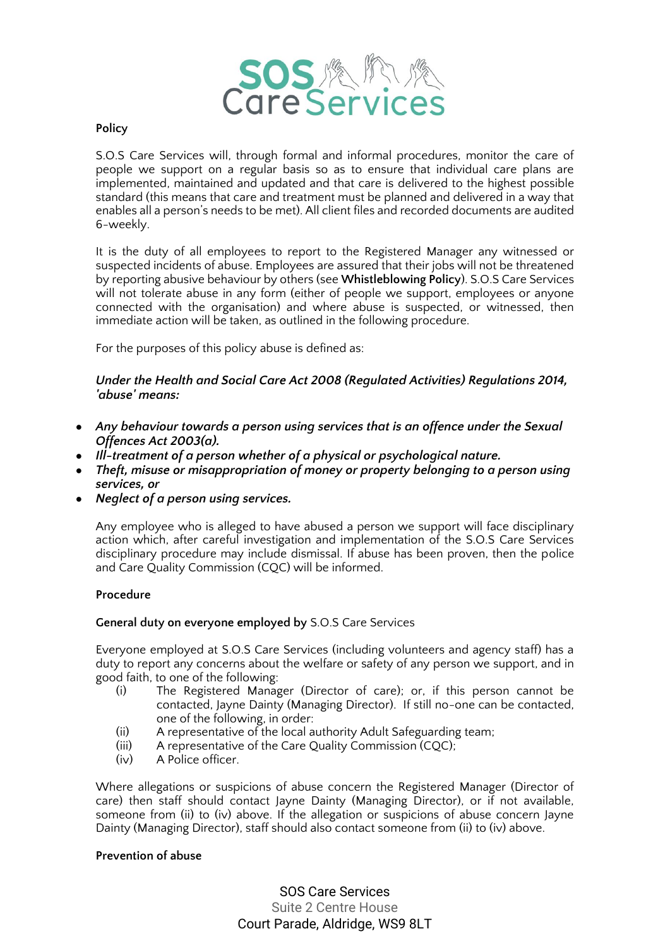

### **Policy**

S.O.S Care Services will, through formal and informal procedures, monitor the care of people we support on a regular basis so as to ensure that individual care plans are implemented, maintained and updated and that care is delivered to the highest possible standard (this means that care and treatment must be planned and delivered in a way that enables all a person's needs to be met). All client files and recorded documents are audited 6-weekly.

It is the duty of all employees to report to the Registered Manager any witnessed or suspected incidents of abuse. Employees are assured that their jobs will not be threatened by reporting abusive behaviour by others (see **Whistleblowing Policy**). S.O.S Care Services will not tolerate abuse in any form (either of people we support, employees or anyone connected with the organisation) and where abuse is suspected, or witnessed, then immediate action will be taken, as outlined in the following procedure.

For the purposes of this policy abuse is defined as:

# *Under the Health and Social Care Act 2008 (Regulated Activities) Regulations 2014, 'abuse' means:*

- *Any behaviour towards a person using services that is an offence under the Sexual Offences Act 2003(a).*
- *Ill-treatment of a person whether of a physical or psychological nature.*
- *Theft, misuse or misappropriation of money or property belonging to a person using services, or*
- *Neglect of a person using services.*

Any employee who is alleged to have abused a person we support will face disciplinary action which, after careful investigation and implementation of the S.O.S Care Services disciplinary procedure may include dismissal. If abuse has been proven, then the police and Care Quality Commission (CQC) will be informed.

# **Procedure**

#### **General duty on everyone employed by** S.O.S Care Services

Everyone employed at S.O.S Care Services (including volunteers and agency staff) has a duty to report any concerns about the welfare or safety of any person we support, and in good faith, to one of the following:

- (i) The Registered Manager (Director of care); or, if this person cannot be contacted, Jayne Dainty (Managing Director). If still no-one can be contacted, one of the following, in order:
- (ii) A representative of the local authority Adult Safeguarding team;
- (iii) A representative of the Care Quality Commission (CQC);
- (iv) A Police officer.

Where allegations or suspicions of abuse concern the Registered Manager (Director of care) then staff should contact Jayne Dainty (Managing Director), or if not available, someone from (ii) to (iv) above. If the allegation or suspicions of abuse concern Jayne Dainty (Managing Director), staff should also contact someone from (ii) to (iv) above.

### **Prevention of abuse**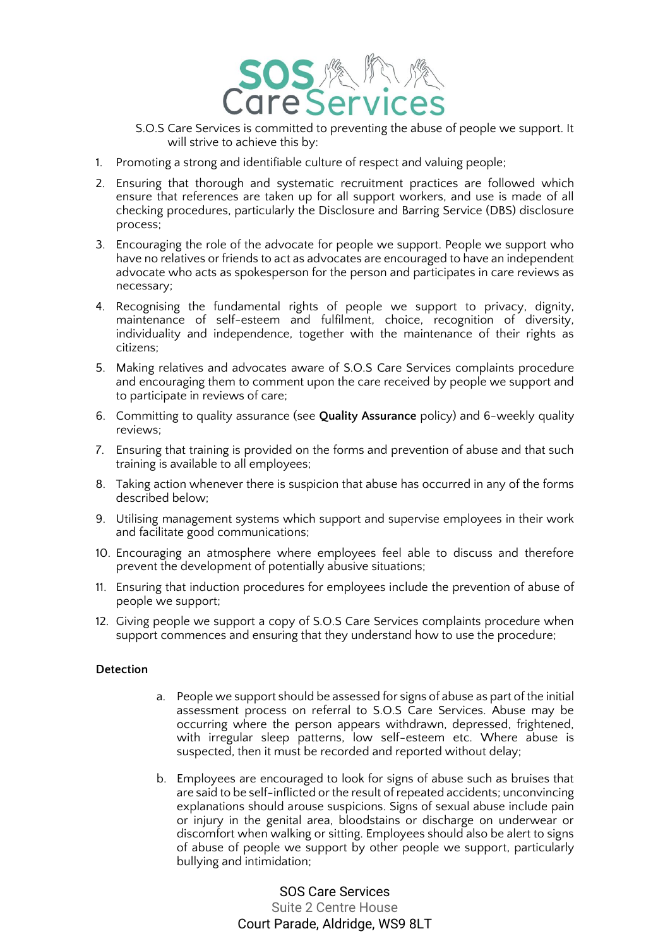

- S.O.S Care Services is committed to preventing the abuse of people we support. It will strive to achieve this by:
- 1. Promoting a strong and identifiable culture of respect and valuing people;
- 2. Ensuring that thorough and systematic recruitment practices are followed which ensure that references are taken up for all support workers, and use is made of all checking procedures, particularly the Disclosure and Barring Service (DBS) disclosure process;
- 3. Encouraging the role of the advocate for people we support. People we support who have no relatives or friends to act as advocates are encouraged to have an independent advocate who acts as spokesperson for the person and participates in care reviews as necessary;
- 4. Recognising the fundamental rights of people we support to privacy, dignity, maintenance of self-esteem and fulfilment, choice, recognition of diversity, individuality and independence, together with the maintenance of their rights as citizens;
- 5. Making relatives and advocates aware of S.O.S Care Services complaints procedure and encouraging them to comment upon the care received by people we support and to participate in reviews of care;
- 6. Committing to quality assurance (see **Quality Assurance** policy) and 6-weekly quality reviews;
- 7. Ensuring that training is provided on the forms and prevention of abuse and that such training is available to all employees;
- 8. Taking action whenever there is suspicion that abuse has occurred in any of the forms described below;
- 9. Utilising management systems which support and supervise employees in their work and facilitate good communications;
- 10. Encouraging an atmosphere where employees feel able to discuss and therefore prevent the development of potentially abusive situations;
- 11. Ensuring that induction procedures for employees include the prevention of abuse of people we support;
- 12. Giving people we support a copy of S.O.S Care Services complaints procedure when support commences and ensuring that they understand how to use the procedure;

# **Detection**

- a. People we support should be assessed for signs of abuse as part of the initial assessment process on referral to S.O.S Care Services. Abuse may be occurring where the person appears withdrawn, depressed, frightened, with irregular sleep patterns, low self-esteem etc. Where abuse is suspected, then it must be recorded and reported without delay;
- b. Employees are encouraged to look for signs of abuse such as bruises that are said to be self-inflicted or the result of repeated accidents; unconvincing explanations should arouse suspicions. Signs of sexual abuse include pain or injury in the genital area, bloodstains or discharge on underwear or discomfort when walking or sitting. Employees should also be alert to signs of abuse of people we support by other people we support, particularly bullying and intimidation;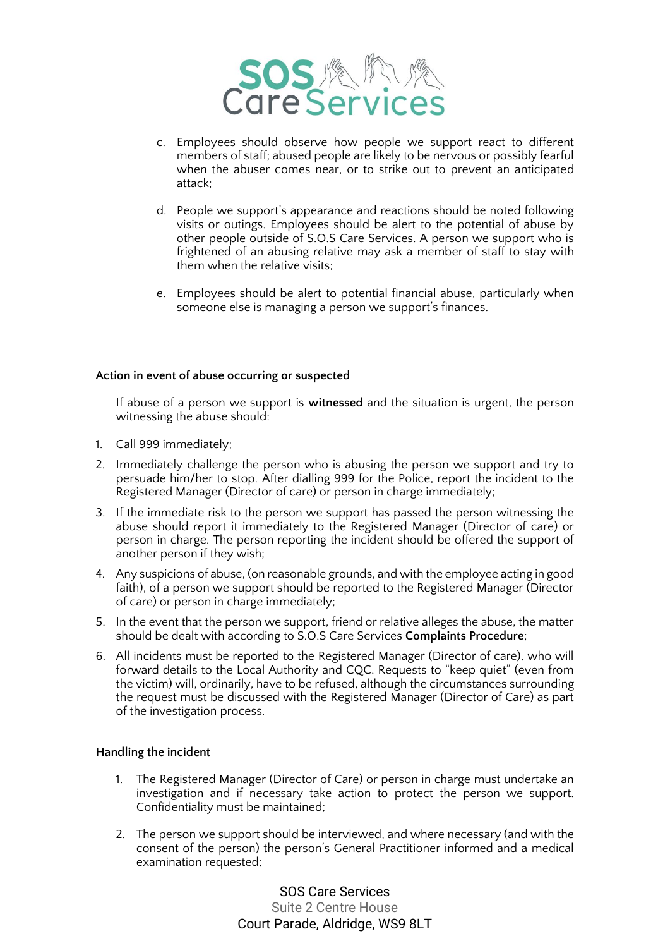

- c. Employees should observe how people we support react to different members of staff; abused people are likely to be nervous or possibly fearful when the abuser comes near, or to strike out to prevent an anticipated attack;
- d. People we support's appearance and reactions should be noted following visits or outings. Employees should be alert to the potential of abuse by other people outside of S.O.S Care Services. A person we support who is frightened of an abusing relative may ask a member of staff to stay with them when the relative visits;
- e. Employees should be alert to potential financial abuse, particularly when someone else is managing a person we support's finances.

#### **Action in event of abuse occurring or suspected**

If abuse of a person we support is **witnessed** and the situation is urgent, the person witnessing the abuse should:

- 1. Call 999 immediately;
- 2. Immediately challenge the person who is abusing the person we support and try to persuade him/her to stop. After dialling 999 for the Police, report the incident to the Registered Manager (Director of care) or person in charge immediately;
- 3. If the immediate risk to the person we support has passed the person witnessing the abuse should report it immediately to the Registered Manager (Director of care) or person in charge. The person reporting the incident should be offered the support of another person if they wish;
- 4. Any suspicions of abuse, (on reasonable grounds, and with the employee acting in good faith), of a person we support should be reported to the Registered Manager (Director of care) or person in charge immediately;
- 5. In the event that the person we support, friend or relative alleges the abuse, the matter should be dealt with according to S.O.S Care Services **Complaints Procedure**;
- 6. All incidents must be reported to the Registered Manager (Director of care), who will forward details to the Local Authority and CQC. Requests to "keep quiet" (even from the victim) will, ordinarily, have to be refused, although the circumstances surrounding the request must be discussed with the Registered Manager (Director of Care) as part of the investigation process.

#### **Handling the incident**

- 1. The Registered Manager (Director of Care) or person in charge must undertake an investigation and if necessary take action to protect the person we support. Confidentiality must be maintained;
- 2. The person we support should be interviewed, and where necessary (and with the consent of the person) the person's General Practitioner informed and a medical examination requested;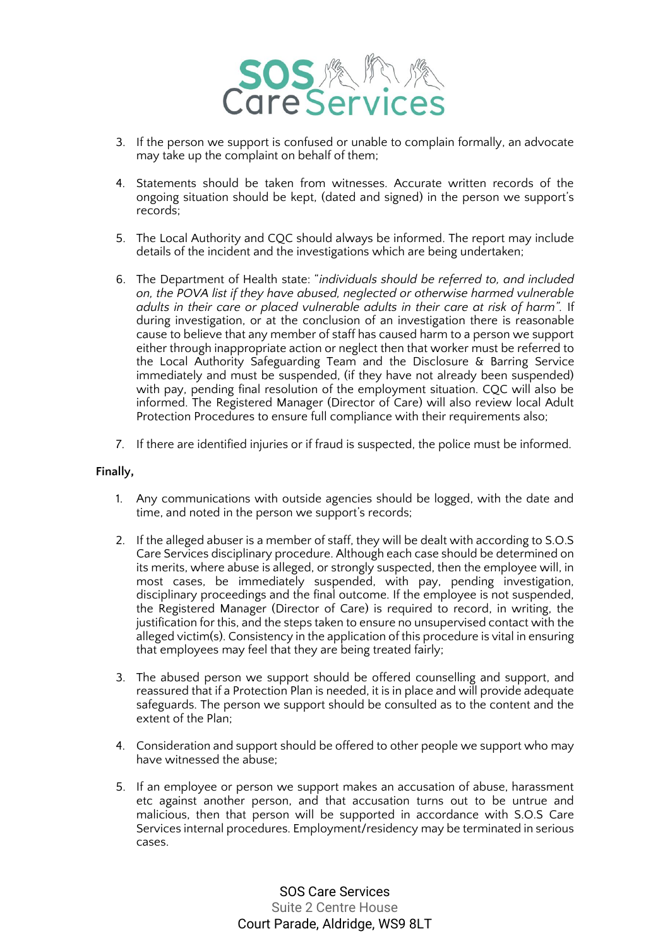

- 3. If the person we support is confused or unable to complain formally, an advocate may take up the complaint on behalf of them;
- 4. Statements should be taken from witnesses. Accurate written records of the ongoing situation should be kept, (dated and signed) in the person we support's records;
- 5. The Local Authority and CQC should always be informed. The report may include details of the incident and the investigations which are being undertaken;
- 6. The Department of Health state: "*individuals should be referred to, and included on, the POVA list if they have abused, neglected or otherwise harmed vulnerable adults in their care or placed vulnerable adults in their care at risk of harm".* If during investigation, or at the conclusion of an investigation there is reasonable cause to believe that any member of staff has caused harm to a person we support either through inappropriate action or neglect then that worker must be referred to the Local Authority Safeguarding Team and the Disclosure & Barring Service immediately and must be suspended, (if they have not already been suspended) with pay, pending final resolution of the employment situation. CQC will also be informed. The Registered Manager (Director of Care) will also review local Adult Protection Procedures to ensure full compliance with their requirements also;
- 7. If there are identified injuries or if fraud is suspected, the police must be informed.

### **Finally,**

- 1. Any communications with outside agencies should be logged, with the date and time, and noted in the person we support's records;
- 2. If the alleged abuser is a member of staff, they will be dealt with according to S.O.S Care Services disciplinary procedure. Although each case should be determined on its merits, where abuse is alleged, or strongly suspected, then the employee will, in most cases, be immediately suspended, with pay, pending investigation, disciplinary proceedings and the final outcome. If the employee is not suspended, the Registered Manager (Director of Care) is required to record, in writing, the justification for this, and the steps taken to ensure no unsupervised contact with the alleged victim(s). Consistency in the application of this procedure is vital in ensuring that employees may feel that they are being treated fairly;
- 3. The abused person we support should be offered counselling and support, and reassured that if a Protection Plan is needed, it is in place and will provide adequate safeguards. The person we support should be consulted as to the content and the extent of the Plan;
- 4. Consideration and support should be offered to other people we support who may have witnessed the abuse:
- 5. If an employee or person we support makes an accusation of abuse, harassment etc against another person, and that accusation turns out to be untrue and malicious, then that person will be supported in accordance with S.O.S Care Services internal procedures. Employment/residency may be terminated in serious cases.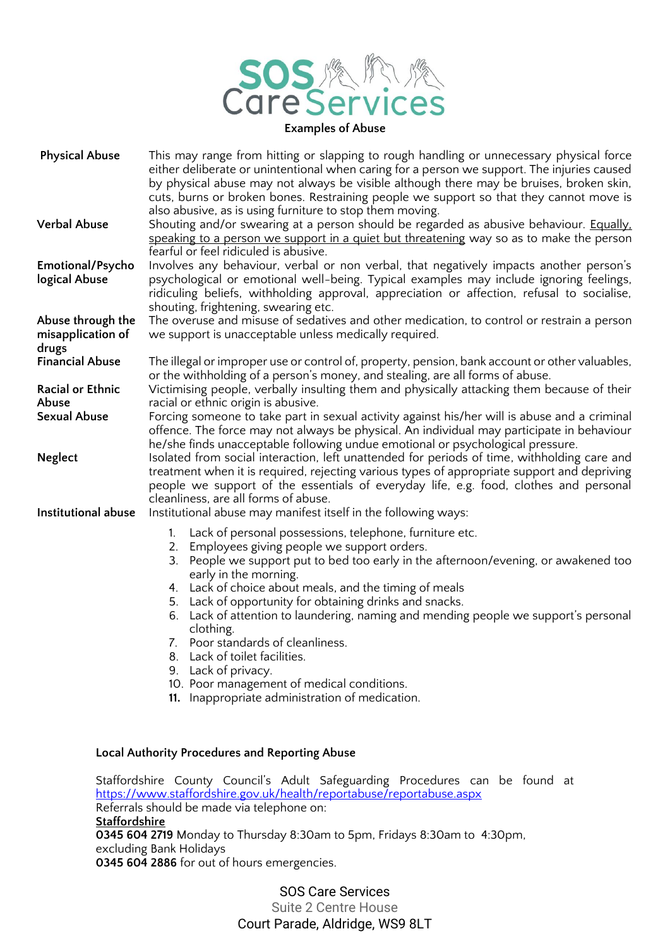

#### **Physical Abuse** This may range from hitting or slapping to rough handling or unnecessary physical force either deliberate or unintentional when caring for a person we support. The injuries caused by physical abuse may not always be visible although there may be bruises, broken skin, cuts, burns or broken bones. Restraining people we support so that they cannot move is also abusive, as is using furniture to stop them moving. **Verbal Abuse** Shouting and/or swearing at a person should be regarded as abusive behaviour. **Equally**, speaking to a person we support in a quiet but threatening way so as to make the person fearful or feel ridiculed is abusive. **Emotional/Psycho logical Abuse** Involves any behaviour, verbal or non verbal, that negatively impacts another person's psychological or emotional well-being. Typical examples may include ignoring feelings, ridiculing beliefs, withholding approval, appreciation or affection, refusal to socialise, shouting, frightening, swearing etc. **Abuse through the misapplication of drugs** The overuse and misuse of sedatives and other medication, to control or restrain a person we support is unacceptable unless medically required. **Financial Abuse** The illegal or improper use or control of, property, pension, bank account or other valuables, or the withholding of a person's money, and stealing, are all forms of abuse. **Racial or Ethnic Abuse** Victimising people, verbally insulting them and physically attacking them because of their racial or ethnic origin is abusive. **Sexual Abuse** Forcing someone to take part in sexual activity against his/her will is abuse and a criminal offence. The force may not always be physical. An individual may participate in behaviour he/she finds unacceptable following undue emotional or psychological pressure. **Neglect** Isolated from social interaction, left unattended for periods of time, withholding care and treatment when it is required, rejecting various types of appropriate support and depriving people we support of the essentials of everyday life, e.g. food, clothes and personal cleanliness, are all forms of abuse. **Institutional abuse** Institutional abuse may manifest itself in the following ways:

- 1. Lack of personal possessions, telephone, furniture etc.
- 2. Employees giving people we support orders.
- 3. People we support put to bed too early in the afternoon/evening, or awakened too early in the morning.
- 4. Lack of choice about meals, and the timing of meals
- 5. Lack of opportunity for obtaining drinks and snacks.
- 6. Lack of attention to laundering, naming and mending people we support's personal clothing.
- 7. Poor standards of cleanliness.
- 8. Lack of toilet facilities.
- 9. Lack of privacy.
- 10. Poor management of medical conditions.
- **11.** Inappropriate administration of medication.

#### **Local Authority Procedures and Reporting Abuse**

Staffordshire County Council's Adult Safeguarding Procedures can be found at <https://www.staffordshire.gov.uk/health/reportabuse/reportabuse.aspx> Referrals should be made via telephone on: **Staffordshire 0345 604 2719** Monday to Thursday 8:30am to 5pm, Fridays 8:30am to 4:30pm, excluding Bank Holidays

**0345 604 2886** for out of hours emergencies.